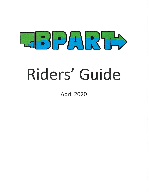

# Riders' Guide

**April 2020**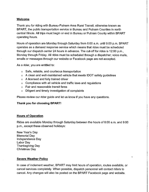#### Welcome

Thank you for riding with Bureau-Putnam Area Rural Transit, otherwise known as BPART, the public transportation service in Bureau and Putnam Counties in north central Illinois. All trips must begin or end in Bureau or Putnam County within BPART operating hours.

Hours of operation are Monday through Saturday from 6:00 a.m. until 9:00 p.m. BPART operates as a demand response service which means that rides must be scheduled through our dispatch center 24 hours in advance. The cut-off for rides is 12:00 p.m., Monday through Friday. All rides must be scheduled through a dispatcher; voice mails, emails or messages through our website or Facebook page are not accepted.

As a rider, you are entitled to:

- o Safe, reliable, and courteous transportation
- o A clean and well-maintained vehicle that meets IDOT safety guidelines
- o A licensed and fully trained driver
- o Compliance with all vehicle and traffic laws and regulations
- o Fair and reasonable transit fares
- o Diligent and timely investigation of complaints

Please review our rider guide and let us know if you have any questions.

#### Thank you for choosing BPART!

#### Hours of Operation

Rides are available Monday through Saturday between the hours of 6:00 a.m. and 9:00 p.m., except these observed holidays:

New Year's Day Memorial Day Independence Day Labor Day Thanksgiving Day Christmas Day

#### Severe Weather Policy

In case of inclement weather, BPART may limit hours of operation, routes available, or cancel services completely. When possible, dispatch personnel will contact riders to cancel. Any changes will also be posted on the BPART Facebook page and website.

Ą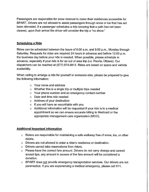Passengers are responsible for snow removal to make their residences accessible for BPART. Drivers are not allowed to assist passengers through snow or ice that has not been shoveled. If a passenger schedules a ride knowing that a path has not been cleared, upon their arrival the driver will consider the trip a "no show."

# Scheduling a Ride

Rides can be scheduled between the hours of 6:00 a.m. and 9:00 p.m., Monday through Saturday. Requests for rides are required 24 hours in advance and before 12:00 p.m. the business day before your ride is needed. When possible, please schedule in advance, especially if your ride is for an out of area trip (i.e. Peoria, Ottawa). Our dispatchers can be reached at (877) 874-8813. Rides are based on space and vehicle availability.

When calling to arrange a ride for yourself or someone else, please be prepared to give the following information:

- $\circ$  Your name and addres
- $\circ$  . Whether this is a single trip or multiple trips neede
- $\circ$   $\,$  Your phone number and an emergency contact number
- $\circ$  Date and time ride neede
- $\circ$  . Address of your destinati
- o If you will have an escort/aide with you
- $\circ$  . Additional information will be requested if your ride is to a medic appointment so we can ensure accurate billing to Medicaid or the appropriate management care organization (MCO).

# Additional Important Information

- o Riders are responsible for maintaining a safe walkway free of snow, ice, or other debris.
- o Drivers are not allowed to enter a rider's residence or destination.
- o Drivers cannot take reservations from riders.
- o Please have the correct fare amount. Drivers do not carry change and cannot accept tips; any amount in excess of the fare amount will be considered a donation.
- o BPART does not provide emergency transportation services. Our drivers are not paramedics. If you are experiencing a medical emergency, please call 911.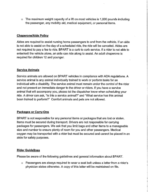o The maximum weight capacity of a liff on most vehicles is 1,000 pounds including the passenger, any mobility aid, medical equipment, or personal items.

# Chaperone/Aide Policy

Aides are required to assist nursing home passengers to and from the vehicle. If an aide is not able to assist on the day of a scheduled ride, the ride will be canceled. Aides are not required to pay a fee to ride. BPART is a curb to curb service. If a rider is not able to enter/exit the vehicle alone, an aide can ride along to assist. An adult chaperone is required for children 12 and younger.

## Service Animals

Service animals are allowed on BPART vehicles in compliance with ADA regulations. A service animal is any animal individually trained to work or perform tasks for an individual with a disability. The service animal must remain under the control of the rider and not present an immediate danger to the driver or riders. If you have a service animal that will accompany you, please let the dispatcher know when scheduling your ride. A driver can ask, "Is this a service animal?" and "What service has this animal been trained to perform?" Comfort animals and pets are not allowed.

## Packages or Carry-Ons

BPART is not responsible for any personal items or packages that are lost or stolen. Items must be secured during transport. Drivers are not responsible for carrying packages for passengers. We ask that you limit bags and other items to a manageable size and number to ensure plenty of room for you and other passengers. Medical oxygen may be transported with a rider but must be secured and cannot be placed in an aisle for safety purposes.

## Rider Guidelines

Please be aware of the following guidelines and general information about BPART.

o Passengers are always required to wear a seat belt unless a letter from a rider's physician states otherwise. A copy of this letter will be maintained on file.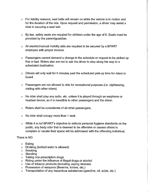- o For liability reasons, seat belts will remain on while the vehicle is in motion and for the duration of the ride. Upon request and permission, a driver may assist a rider in securing a seat belt.
- o By law, safety seats are required for children under the age of 8. Seats must be provided by the parent/guardian.
- o All electric/manual mobility aids are required to be secured by a BPART employee with proper devices.
- o Passengers cannot demand a change in the schedule or request to be picked up first or last. Riders also are not to ask the driver to stop along the way to a scheduled destination.
- o Drivers will only wait for 5 minutes past the scheduled pick-up time for riders to board.
- o Passengers are not allowed to ride for recreational purposes (i.e. sightseeing, visiting with other riders).
- o No rider shall play any radio, etc. unless it is played through an earphone or headset device, so it is inaudible to other passengers and the driver.
- o Riders shall be considerate of all other passengers.
- o No rider shall occupy more than 1 seat.
- o While it is not BPART's objective to enforce personal hygiene standards on the public, any body odor that is deemed to be offensive or causes others to complain or vacate their space will be addressed with the offending individual.

## There is NO:

- o Eating
- $\circ$   $\,$  Drinking (bottled water is allowe
- o Smokii
- o Standii
- o I aking non-prescription drug
- $\circ$   $\,$  Riding under the influence of illegal drugs or alcoh
- $\circ$  . Use of tobacco products (including vaping device
- o Possession of weapons (firearms, knives, etc.)
- $\circ$   $\;$  Transportation of any nazardous substances (gasoline, oil, acids, etc.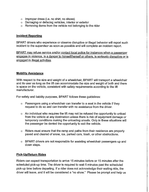- o Improper dress (i.e. no shirt, no shoes)
- o Damaging or defacing vehicles, interior or exterior
- o Removing items from the vehicle not belonging to the rider

#### Incident Reporting

BPART drivers who experience or observe disruptive or illegal behavior will report such incident to the supervisor as soon as possible and will complete an incident report.

BPART may refuse service and/or contact local police for instances when a passenger enqaqes in violence, is a danqer to himself/herself or others, is seriously disruptive or is enqaqed in illegal activities.

#### Mobility Assistance

With respect to the size and weight of a wheelchair, BPART will transport a wheelchair and its user as long as the lift can accommodate the size and weight of both and there is space on the vehicle, consistent with safety requirements according to the liff manufacturer.

For safety and liability purposes, BPART follows these guidelines:

- o Passengers using a wheelchair can transfer to a seat in the vehicle if they request to do so and can transfer with no assistance from the driver.
- o An individual who requires the lift may not be refused the opportunity to unload from the vehicle at any destination unless there is risk of equipment damage or temporary conditions making the unloading unsafe. Only in these situations will the passenger be denied the opportunity to exit the vehicle.
- o Riders must ensure that the ramp and paths from their residence are properly paved and cleared of snow, ice, parked cars, trash, or other obstructions.
- o BPART drivers are not responsible for assisting wheelchair passengers up and down steps.

#### Pick-Up/Return Rides

Riders can expect transportation to arrive 15 minutes before or 15 minutes affer the scheduled pick-up time. The driver is required to wait 5 minutes past the scheduled pick-up time before departing. If a rider does not acknowledge their waiting ride, the driver will leave, and it will be considered a "no show." Please be prompt and help us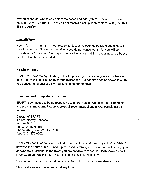stay on schedule. On the day before the scheduled ride, you will receive a recorded message to verify your ride. If you do not receive a call, please contact us at (877) 874- 8813 to confirm.

## **Cancellations**

If your ride is no longer needed, please contact us as soon as possible but at least 1 hour in advance of the scheduled ride. If you do not cancel your ride, you will be considered a "no show." Our dispatch office has voice mail to leave a message before or afier office hours, if needed.

#### No Show Policy

BPART reserves the right to deny rides if a passenger consistently misses scheduled trips. Riders will be billed \$5.00 for the missed trip. If a rider has two no shows in a 30 day period, riding privileges will be suspended for 30 days.

#### Comment and Complaint Procedure

BPART is committed to being responsive to riders' needs. We encourage comments and recommendations. Please address all recommendations and/or complaints as follows:

Director of BPART c/o of Gateway Services **PO Box 535** Princeton, IL 61356 Phone: (877) 874-8813 Ext. 100 Fax: (815) 875-8602

Riders with needs or questions not addressed in this handbook may call (877) 874-8813 between the hours of 6 a.m. and 9 p.m. Monday through Saturday. We will be happy to answer any questions. In the event you are not able to reach us, kindly leave contact information and we will return your call on the next business day.

Upon request, service information is available to the public in alternative formats.

This handbook may be amended at any time.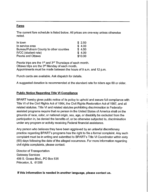#### Fares

The current fare schedule is listed below. All prices are one-way unless otherwise noted.

| In town                                | \$2,50  |
|----------------------------------------|---------|
| In service area                        | \$4.00  |
| Bureau/Putnam County to other counties | \$4.50  |
| <b>IVCC</b> (student rate)             | \$4.00  |
| Peoria and Ottawa                      | \$10.00 |

Peoria trips are the 1<sup>st</sup> and  $3<sup>rd</sup>$  Thursdays of each month. Ottawa trips are the 3rd Monday of each month. Appointments must be made between the hours of 9 a.m. and 12 p.m.

Punch cards are available. Ask dispatch for details.

A suggested donation is recommended at the standard rate for riders age 60 or older.

## Public Notice Regarding Title VI Compliance

BPART hereby gives public notice of its policy to uphold and assure full compliance with Title Vl of the Civil Rights Act of 1964, the Civil Rights Restoration Act of 1987, and all related statutes. Title Vl and related statutes prohibiting discrimination in Federallyassisted programs require that no person in the United States of America shall on the grounds of race, color, or national origin, sex, age, or disability be excluded from the participation in, be denied the benefits of, or be otherwise subjected to, discrimination under any program or activity receiving Federal financial assistance.

Any person who believes they have been aggrieved by an unlawful discretionary practice regarding BPART's programs has the right to file a formal complaint. Any such complaint must be in writing and submitted to BPART's Title VI Coordinator within sixty (60) days following the date of the alleged occurrence. For more information regarding civil rights complaints, please contact:

Director of Transportation Gateway Services 406 S. Gosse Blvd., PO Box 535 Princeton, IL 61356

If this information is needed in another language, please contact us.